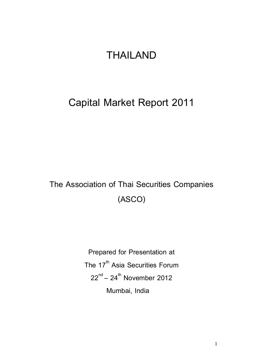## **THAILAND**

## **Capital Market Report 2011**

# **The Association of Thai Securities Companies (ASCO)**

**Prepared for Presentation at The 17 th Asia Securities Forum 22nd – 24th November 2012 Mumbai, India**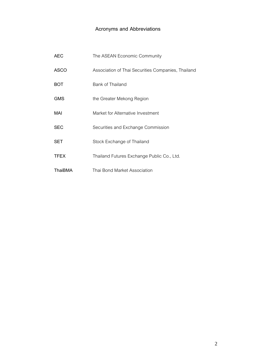## **Acronyms and Abbreviations**

| AEC         | The ASEAN Economic Community                       |
|-------------|----------------------------------------------------|
| <b>ASCO</b> | Association of Thai Securities Companies, Thailand |
| <b>BOT</b>  | Bank of Thailand                                   |
| GMS         | the Greater Mekong Region                          |
| MAI         | Market for Alternative Investment                  |
| <b>SEC</b>  | Securities and Exchange Commission                 |
| SET         | Stock Exchange of Thailand                         |
| <b>TFEX</b> | Thailand Futures Exchange Public Co., Ltd.         |
| ThaiBMA     | Thai Bond Market Association                       |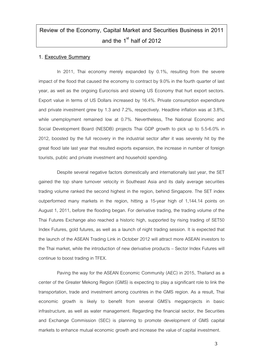## **Review of the Economy, Capital Market and Securities Business in 2011 and the 1st half of 2012**

## **1. Executive Summary**

In 2011, Thai economy merely expanded by 0.1%, resulting from the severe impact of the flood that caused the economy to contract by 9.0% in the fourth quarter of last year, as well as the ongoing Eurocrisis and slowing US Economy that hurt export sectors. Export value in terms of US Dollars increased by 16.4%. Private consumption expenditure and private investment grew by 1.3 and 7.2%, respectively. Headline inflation was at 3.8%, while unemployment remained low at 0.7%. Nevertheless, The National Economic and Social Development Board (NESDB) projects Thai GDP growth to pick up to 5.5-6.0% in 2012, boosted by the full recovery in the industrial sector after it was severely hit by the great flood late last year that resulted exports expansion, the increase in number of foreign tourists, public and private investment and household spending.

Despite several negative factors domestically and internationally last year, the SET gained the top share turnover velocity in Southeast Asia and its daily average securities trading volume ranked the second highest in the region, behind Singapore. The SET index outperformed many markets in the region, hitting a 15-year high of 1,144.14 points on August 1, 2011, before the flooding began. For derivative trading, the trading volume of the Thai Futures Exchange also reached a historic high, supported by rising trading of SET50 Index Futures, gold futures, as well as a launch of night trading session. It is expected that the launch of the ASEAN Trading Link in October 2012 will attract more ASEAN investors to the Thai market, while the introduction of new derivative products – Sector Index Futures will continue to boost trading in TFEX.

Paving the way for the ASEAN Economic Community (AEC) in 2015, Thailand as a center of the Greater Mekong Region (GMS) is expecting to play a significant role to link the transportation, trade and investment among countries in the GMS region. As a result, Thai economic growth is likely to benefit from several GMS's megaprojects in basic infrastructure, as well as water management. Regarding the financial sector, the Securities and Exchange Commission (SEC) is planning to promote development of GMS capital markets to enhance mutual economic growth and increase the value of capital investment.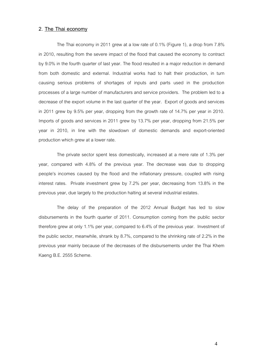## **2. The Thai economy**

The Thai economy in 2011 grew at a low rate of 0.1% (Figure 1), a drop from 7.8% in 2010, resulting from the severe impact of the flood that caused the economy to contract by 9.0% in the fourth quarter of last year. The flood resulted in a major reduction in demand from both domestic and external. Industrial works had to halt their production, in turn causing serious problems of shortages of inputs and parts used in the production processes of a large number of manufacturers and service providers. The problem led to a decrease of the export volume in the last quarter of the year. Export of goods and services in 2011 grew by 9.5% per year, dropping from the growth rate of 14.7% per year in 2010. Imports of goods and services in 2011 grew by 13.7% per year, dropping from 21.5% per year in 2010, in line with the slowdown of domestic demands and export-oriented production which grew at a lower rate.

The private sector spent less domestically, increased at a mere rate of 1.3% per year, compared with 4.8% of the previous year. The decrease was due to dropping people's incomes caused by the flood and the inflationary pressure, coupled with rising interest rates. Private investment grew by 7.2% per year, decreasing from 13.8% in the previous year, due largely to the production halting at several industrial estates.

The delay of the preparation of the 2012 Annual Budget has led to slow disbursements in the fourth quarter of 2011. Consumption coming from the public sector therefore grew at only 1.1% per year, compared to 6.4% of the previous year. Investment of the public sector, meanwhile, shrank by 8.7%, compared to the shrinking rate of 2.2% in the previous year mainly because of the decreases of the disbursements under the Thai Khem Kaeng B.E. 2555 Scheme.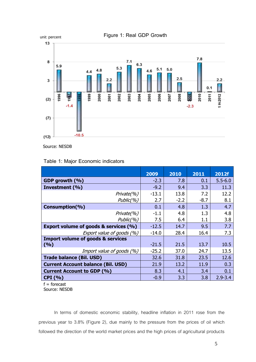

**Table 1: Major Economic indicators**

|                                                       | 2009    | 2010   | 2011   | 2012f       |
|-------------------------------------------------------|---------|--------|--------|-------------|
| GDP growth $(%$                                       | $-2.3$  | 7.8    | 0.1    | $5.5 - 6.0$ |
| Investment (%)                                        | $-9.2$  | 9.4    | 3.3    | 11.3        |
| Private(%)                                            | $-13.1$ | 13.8   | 7.2    | 12.2        |
| Public(%)                                             | 2.7     | $-2.2$ | $-8.7$ | 8.1         |
| Consumption(%)                                        | 0.1     | 4.8    | 1.3    | 4.7         |
| Private(%)                                            | $-1.1$  | 4.8    | 1.3    | 4.8         |
| Public(%)                                             | 7.5     | 6.4    | 1.1    | 3.8         |
| Export volume of goods & services (%)                 | $-12.5$ | 14.7   | 9.5    | 7.7         |
| Export value of goods (%)                             | $-14.0$ | 28.4   | 16.4   | 7.3         |
| <b>Import volume of goods &amp; services</b><br>(9/6) | $-21.5$ | 21.5   | 13.7   | 10.5        |
| Import value of goods (%)                             | $-25.2$ | 37.0   | 24.7   | 13.5        |
| <b>Trade balance (Bil. USD)</b>                       | 32.6    | 31.8   | 23.5   | 12.6        |
| <b>Current Account balance (Bil. USD)</b>             | 21.9    | 13.2   | 11.9   | 0.3         |
| <b>Current Account to GDP (%)</b>                     | 8.3     | 4.1    | 3.4    | 0.1         |
| CPI(%)                                                | $-0.9$  | 3.3    | 3.8    | $2.9 - 3.4$ |

 $f =$  forecast Source: NESDB

In terms of domestic economic stability, headline inflation in 2011 rose from the previous year to 3.8% (Figure 2), due mainly to the pressure from the prices of oil which followed the direction of the world market prices and the high prices of agricultural products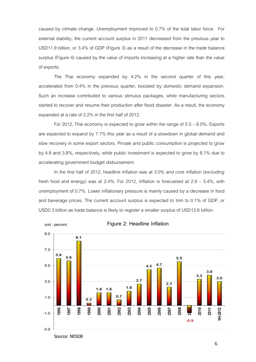caused by climate change. Unemployment improved to 0.7% of the total labor force. For external stability, the current account surplus in 2011 decreased from the previous year to USD11.9 billion, or 3.4% of GDP (Figure 3) as a result of the decrease in the trade balance surplus (Figure 4) caused by the value of imports increasing at a higher rate than the value of exports.

The Thai economy expanded by 4.2% in the second quarter of this year, accelerated from 0.4% in the previous quarter, boosted by domestic demand expansion. Such an increase contributed to various stimulus packages, while manufacturing sectors started to recover and resume their production after flood disaster. As a result, the economy expanded at a rate of 2.2% in the first half of 2012.

For 2012, Thai economy is expected to grow within the range of 5.5 – 6.0%. Exports are expected to expand by 7.7% this year as a result of a slowdown in global demand and slow recovery in some export sectors. Private and public consumption is projected to grow by 4.8 and 3.8%, respectively, while public investment is expected to grow by 8.1% due to accelerating government budget disbursement.

In the first half of 2012, headline inflation was at 3.0% and core inflation (excluding fresh food and energy) was at  $2.4\%$ . For 2012, Inflation is forecasted at  $2.9 - 3.4\%$ , with unemployment of 0.7%. Lower inflationary pressure is mainly caused by a decrease in food and beverage prices. The current account surplus is expected to trim to 0.1% of GDP, or USD0.3 billion as trade balance is likely to register a smaller surplus of USD12.6 billion.



Source: NESDB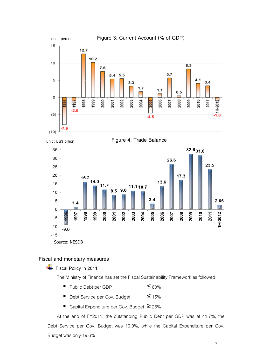







## **Fiscal and monetary measures**

**Fiscal Policy in 2011**

The Ministry of Finance has set the Fiscal Sustainability Framework as followed;

- Public Debt per GDP  $\leq 60\%$
- Debt Service per Gov. Budget <a>
- Capital Expenditure per Gov. Budget ≥ 25%

At the end of FY2011, the outstanding Public Debt per GDP was at 41.7%, the Debt Service per Gov. Budget was 10.0%, while the Capital Expenditure per Gov. Budget was only 19.6%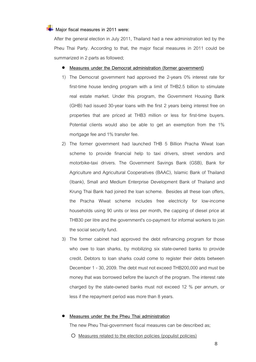## **Major fiscal measures in 2011 were:**

After the general election in July 2011, Thailand had a new administration led by the Pheu Thai Party. According to that, the major fiscal measures in 2011 could be summarized in 2 parts as followed;

- **Measures under the Democrat administration (former government)**
- 1) The Democrat government had approved the 2-years 0% interest rate for first-time house lending program with a limit of THB2.5 billion to stimulate real estate market. Under this program, the Government Housing Bank (GHB) had issued 30-year loans with the first 2 years being interest free on properties that are priced at THB3 million or less for first-time buyers. Potential clients would also be able to get an exemption from the 1% mortgage fee and 1% transfer fee.
- 2) The former government had launched THB 5 Billion Pracha Wiwat loan scheme to provide financial help to taxi drivers, street vendors and motorbike-taxi drivers. The Government Savings Bank (GSB), Bank for Agriculture and Agricultural Cooperatives (BAAC), Islamic Bank of Thailand (Ibank), Small and Medium Enterprise Development Bank of Thailand and Krung Thai Bank had joined the loan scheme. Besides all these loan offers, the Pracha Wiwat scheme includes free electricity for low-income households using 90 units or less per month, the capping of diesel price at THB30 per litre and the government's co-payment for informal workers to join the social security fund.
- 3) The former cabinet had approved the debt refinancing program for those who owe to loan sharks, by mobilizing six state-owned banks to provide credit. Debtors to loan sharks could come to register their debts between December 1 - 30, 2009. The debt must not exceed THB200,000 and must be money that was borrowed before the launch of the program. The interest rate charged by the state-owned banks must not exceed 12 % per annum, or less if the repayment period was more than 8 years.

#### **Measures under the the Pheu Thai administration**

The new Pheu Thai-government fiscal measures can be described as;

o Measures related to the election policies (populist policies)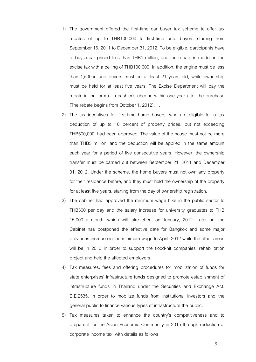- 1) The government offered the first-time car buyer tax scheme to offer tax rebates of up to THB100,000 to first-time auto buyers starting from September 16, 2011 to December 31, 2012. To be eligible, participants have to buy a car priced less than THB1 million, and the rebate is made on the excise tax with a ceiling of THB100,000. In addition, the engine must be less than 1,500cc and buyers must be at least 21 years old, while ownership must be held for at least five years. The Excise Department will pay the rebate in the form of a cashier's cheque within one year after the purchase (The rebate begins from October 1, 2012). .
- 2) The tax incentives for first-time home buyers, who are eligible for a tax deduction of up to 10 percent of property prices, but not exceeding THB500,000, had been approved. The value of the house must not be more than THB5 million, and the deduction will be applied in the same amount each year for a period of five consecutive years. However, the ownership transfer must be carried out between September 21, 2011 and December 31, 2012. Under the scheme, the home buyers must not own any property for their residence before, and they must hold the ownership of the property for at least five years, starting from the day of ownership registration.
- 3) The cabinet had approved the minimum wage hike in the public sector to THB300 per day and the salary increase for university graduates to THB 15,000 a month, which will take effect on January, 2012. Later on, the Cabinet has postponed the effective date for Bangkok and some major provinces increase in the minimum wage to April, 2012 while the other areas will be in 2013 in order to support the flood-hit companies' rehabilitation project and help the affected employers.
- 4) Tax measures, fees and offering procedures for mobilization of funds for state enterprises' infrastructure funds designed to promote establishment of infrastructure funds in Thailand under the Securities and Exchange Act, B.E.2535, in order to mobilize funds from institutional investors and the general public to finance various types of infrastructure the public.
- 5) Tax measures taken to enhance the country's competitiveness and to prepare it for the Asian Economic Community in 2015 through reduction of corporate income tax, with details as follows: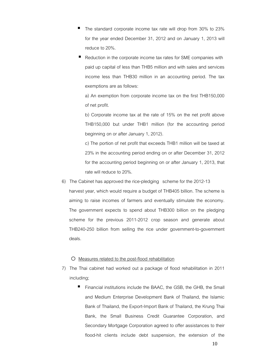- The standard corporate income tax rate will drop from 30% to 23% for the year ended December 31, 2012 and on January 1, 2013 will reduce to 20%.
- Reduction in the corporate income tax rates for SME companies with paid up capital of less than THB5 million and with sales and services income less than THB30 million in an accounting period. The tax exemptions are as follows:

a) An exemption from corporate income tax on the first THB150,000 of net profit.

b) Corporate income tax at the rate of 15% on the net profit above THB150,000 but under THB1 million (for the accounting period beginning on or after January 1, 2012).

c) The portion of net profit that exceeds THB1 million will be taxed at 23% in the accounting period ending on or after December 31, 2012 for the accounting period beginning on or after January 1, 2013, that rate will reduce to 20%.

6) The Cabinet has approved the rice-pledging scheme for the 2012-13 harvest year, which would require a budget of THB405 billion. The scheme is aiming to raise incomes of farmers and eventually stimulate the economy. The government expects to spend about THB300 billion on the pledging scheme for the previous 2011-2012 crop season and generate about THB240-250 billion from selling the rice under government-to-government deals.

#### o Measures related to the post-flood rehabilitation

- 7) The Thai cabinet had worked out a package of flood rehabilitation in 2011 including;
	- Financial institutions include the BAAC, the GSB, the GHB, the Small and Medium Enterprise Development Bank of Thailand, the Islamic Bank of Thailand, the Export-Import Bank of Thailand, the Krung Thai Bank, the Small Business Credit Guarantee Corporation, and Secondary Mortgage Corporation agreed to offer assistances to their flood-hit clients include debt suspension, the extension of the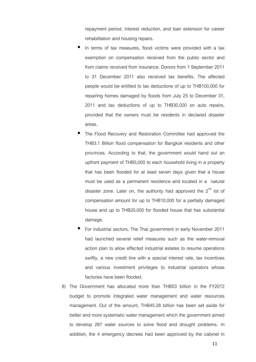repayment period, interest reduction, and loan extension for career rehabilitation and housing repairs.

- In terms of tax measures, flood victims were provided with a tax exemption on compensation received from the public sector and from claims received from insurance. Donors from 1 September 2011 to 31 December 2011 also received tax benefits. The affected people would be entitled to tax deductions of up to THB100,000 for repairing homes damaged by floods from July 25 to December 31, 2011 and tax deductions of up to THB30,000 on auto repairs, provided that the owners must be residents in declared disaster areas.
- The Flood Recovery and Restoration Committee had approved the THB3.1 Billion flood compensation for Bangkok residents and other provinces. According to that, the government would hand out an upfront payment of THB5,000 to each household living in a property that has been flooded for at least seven days given that a house must be used as a permanent residence and located in a natural disaster zone. Later on, the authority had approved the  $2^{nd}$  lot of compensation amount for up to THB10,000 for a partially damaged house and up to THB20,000 for flooded house that has substantial damage.
- For industrial sectors, The Thai government in early November 2011 had launched several relief measures such as the water-removal action plan to allow effected industrial estates to resume operations swiftly, a new credit line with a special interest rate, tax incentives and various investment privileges to industrial operators whose factories have been flooded.
- 8) The Government has allocated more than THB53 billion in the FY2012 budget to promote integrated water management and water resources management. Out of the amount, THB45.28 billion has been set aside for better and more systematic water management which the government aimed to develop 287 water sources to solve flood and drought problems. In addition, the 4 emergency decrees had been approved by the cabinet in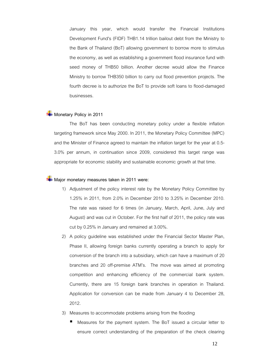January this year, which would transfer the Financial Institutions Development Fund's (FIDF) THB1.14 trillion bailout debt from the Ministry to the Bank of Thailand (BoT) allowing government to borrow more to stimulus the economy, as well as establishing a government flood insurance fund with seed money of THB50 billion. Another decree would allow the Finance Ministry to borrow THB350 billion to carry out flood prevention projects. The fourth decree is to authorize the BoT to provide soft loans to flood-damaged businesses.

## **Monetary Policy in 2011**

The BoT has been conducting monetary policy under a flexible inflation targeting framework since May 2000. In 2011, the Monetary Policy Committee (MPC) and the Minister of Finance agreed to maintain the inflation target for the year at 0.5- 3.0% per annum, in continuation since 2009, considered this target range was appropriate for economic stability and sustainable economic growth at that time.

## **H** Major monetary measures taken in 2011 were:

- 1) Adjustment of the policy interest rate by the Monetary Policy Committee by 1.25% in 2011, from 2.0% in December 2010 to 3.25% in December 2010. The rate was raised for 6 times (in January, March, April, June, July and August) and was cut in October. For the first half of 2011, the policy rate was cut by 0.25% in January and remained at 3.00%.
- 2) A policy guideline was established under the Financial Sector Master Plan, Phase II, allowing foreign banks currently operating a branch to apply for conversion of the branch into a subsidiary, which can have a maximum of 20 branches and 20 off-premise ATM's. The move was aimed at promoting competition and enhancing efficiency of the commercial bank system. Currently, there are 15 foreign bank branches in operation in Thailand. Application for conversion can be made from January 4 to December 28, 2012.
- 3) Measures to accommodate problems arising from the flooding
	- Measures for the payment system. The BoT issued a circular letter to ensure correct understanding of the preparation of the check clearing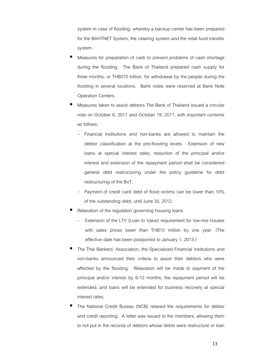system in case of flooding, whereby a backup center has been prepared for the BAHTNET System, the clearing system and the retail fund transfer system.

- Measures for preparation of cash to prevent problems of cash shortage during the flooding. The Bank of Thailand prepared cash supply for three months, or THB570 billion, for withdrawal by the people during the flooding in several locations. Bank notes were reserved at Bank Note Operation Centers.
- Measures taken to assist debtors The Bank of Thailand issued a circular note on October 6, 2011 and October 19, 2011, with important contents as follows:
	- Financial institutions and non-banks are allowed to maintain the debtor classification at the pre-flooding levels. Extension of new loans at special interest rates, reduction of the principal and/or interest and extension of the repayment period shall be considered general debt restructuring under the policy guideline for debt restructuring of the BoT.
	- Payment of credit card debt of flood victims can be lower than 10% of the outstanding debt, until June 30, 2012.
- Relaxation of the regulation governing housing loans
	- Extension of the LTV (Loan to Value) requirement for low-rise houses with sales prices lower than THB10 million by one year. (The effective date has been postponed to January 1, 2013.)
- The Thai Bankers' Association, the Specialized Financial Institutions and non-banks announced their criteria to assist their debtors who were affected by the flooding. Relaxation will be made to payment of the principal and/or interest by 6-12 months; the repayment period will be extended; and loans will be extended for business recovery at special interest rates.
- The National Credit Bureau (NCB) relaxed the requirements for debtor and credit reporting. A letter was issued to the members, allowing them to not put in the records of debtors whose debts were restructure or loan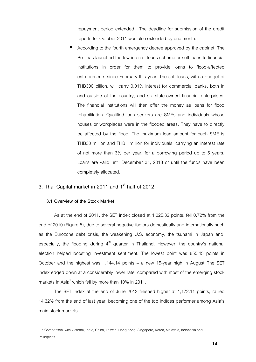repayment period extended. The deadline for submission of the credit reports for October 2011 was also extended by one month.

 According to the fourth emergency decree approved by the cabinet, The BoT has launched the low-interest loans scheme or soft loans to financial institutions in order for them to provide loans to flood-affected entrepreneurs since February this year. The soft loans, with a budget of THB300 billion, will carry 0.01% interest for commercial banks, both in and outside of the country, and six state-owned financial enterprises. The financial institutions will then offer the money as loans for flood rehabilitation. Qualified loan seekers are SMEs and individuals whose houses or workplaces were in the flooded areas. They have to directly be affected by the flood. The maximum loan amount for each SME is THB30 million and THB1 million for individuals, carrying an interest rate of not more than 3% per year, for a borrowing period up to 5 years. Loans are valid until December 31, 2013 or until the funds have been completely allocated.

## **3. Thai Capital market in 2011 and 1st half of 2012**

### **3.1 Overview of the Stock Market**

 $\overline{a}$ 

As at the end of 2011, the SET index closed at 1,025.32 points, fell 0.72% from the end of 2010 (Figure 5), due to several negative factors domestically and internationally such as the Eurozone debt crisis, the weakening U.S. economy, the tsunami in Japan and, especially, the flooding during  $4<sup>th</sup>$  quarter in Thailand. However, the country's national election helped boosting investment sentiment. The lowest point was 855.45 points in October and the highest was 1,144.14 points – a new 15-year high in August. The SET index edged down at a considerably lower rate, compared with most of the emerging stock markets in Asia $^{\rm 1}$  which fell by more than 10% in 2011.

The SET Index at the end of June 2012 finished higher at 1,172.11 points, rallied 14.32% from the end of last year, becoming one of the top indices performer among Asia's main stock markets.

 $^{\text{-}}$ In Comparison with Vietnam, India, China, Taiwan, Hong Kong, Singapore, Korea, Malaysia, Indonesia and Philippines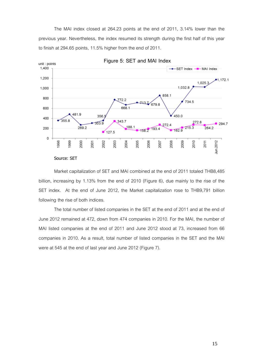The MAI index closed at 264.23 points at the end of 2011, 3.14% lower than the previous year. Nevertheless, the index resumed its strength during the first half of this year to finish at 294.65 points, 11.5% higher from the end of 2011.





Market capitalization of SET and MAI combined at the end of 2011 totaled THB8,485 billion, increasing by 1.13% from the end of 2010 (Figure 6), due mainly to the rise of the SET index. At the end of June 2012, the Market capitalization rose to THB9,791 billion following the rise of both indices.

The total number of listed companies in the SET at the end of 2011 and at the end of June 2012 remained at 472, down from 474 companies in 2010. For the MAI, the number of MAI listed companies at the end of 2011 and June 2012 stood at 73, increased from 66 companies in 2010. As a result, total number of listed companies in the SET and the MAI were at 545 at the end of last year and June 2012 (Figure 7).

Source: SET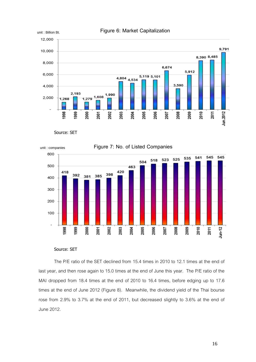

Source: SET



Source: SET

The P/E ratio of the SET declined from 15.4 times in 2010 to 12.1 times at the end of last year, and then rose again to 15.0 times at the end of June this year. The P/E ratio of the MAI dropped from 18.4 times at the end of 2010 to 16.4 times, before edging up to 17.6 times at the end of June 2012 (Figure 8). Meanwhile, the dividend yield of the Thai bourse rose from 2.9% to 3.7% at the end of 2011, but decreased slightly to 3.6% at the end of June 2012.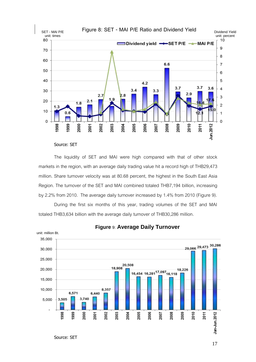

The liquidity of SET and MAI were high compared with that of other stock markets in the region, with an average daily trading value hit a record high of THB29,473 million. Share turnover velocity was at 80.68 percent, the highest in the South East Asia Region. The turnover of the SET and MAI combined totaled THB7,194 billion, increasing

During the first six months of this year, trading volumes of the SET and MAI totaled THB3,634 billion with the average daily turnover of THB30,286 million.

by 2.2% from 2010. The average daily turnover increased by 1.4% from 2010 (Figure 9).



**Figure 9: Average Daily Turnover**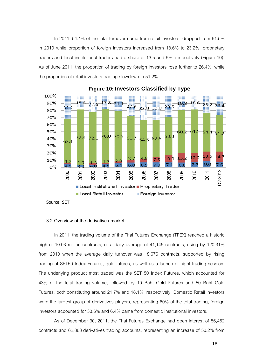In 2011, 54.4% of the total turnover came from retail investors, dropped from 61.5% in 2010 while proportion of foreign investors increased from 18.6% to 23.2%, proprietary traders and local institutional traders had a share of 13.5 and 9%, respectively (Figure 10). As of June 2011, the proportion of trading by foreign investors rose further to 26.4%, while the proportion of retail investors trading slowdown to 51.2%.



**Figure 10: Investors Classified by Type**

Source: SET

### **3.2 Overview of the derivatives market**

In 2011, the trading volume of the Thai Futures Exchange (TFEX) reached a historic high of 10.03 million contracts, or a daily average of 41,145 contracts, rising by 120.31% from 2010 when the average daily turnover was 18,676 contracts, supported by rising trading of SET50 Index Futures, gold futures, as well as a launch of night trading session. The underlying product most traded was the SET 50 Index Futures, which accounted for 43% of the total trading volume, followed by 10 Baht Gold Futures and 50 Baht Gold Futures, both constituting around 21.7% and 18.1%, respectively. Domestic Retail investors were the largest group of derivatives players, representing 60% of the total trading, foreign investors accounted for 33.6% and 6.4% came from domestic institutional investors.

As of December 30, 2011, the Thai Futures Exchange had open interest of 56,452 contracts and 62,883 derivatives trading accounts, representing an increase of 50.2% from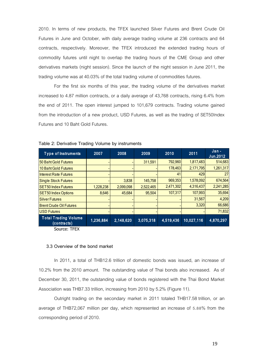2010. In terms of new products, the TFEX launched Silver Futures and Brent Crude Oil Futures in June and October, with daily average trading volume at 236 contracts and 64 contracts, respectively. Moreover, the TFEX introduced the extended trading hours of commodity futures until night to overlap the trading hours of the CME Group and other derivatives markets (night session). Since the launch of the night session in June 2011, the trading volume was at 40.03% of the total trading volume of commodities futures.

For the first six months of this year, the trading volume of the derivatives market increased to 4.87 million contracts, or a daily average of 43,768 contracts, rising 6.4% from the end of 2011. The open interest jumped to 101,679 contracts. Trading volume gained from the introduction of a new product, USD Futures, as well as the trading of SET50Index Futures and 10 Baht Gold Futures.

| Table 2: Derivative Trading Volume by instruments |           |           |           |           |            |                         |
|---------------------------------------------------|-----------|-----------|-----------|-----------|------------|-------------------------|
| <b>Type of Instruments</b>                        | 2007      | 2008      | 2009      | 2010      | 2011       | Jan-<br><b>Jun.2012</b> |
| 50 Baht Gold Futures                              |           |           | 311,591   | 792,960   | 1,817,483  | 514,683                 |
| 10 Baht Gold Futures                              |           |           |           | 178,463   | 2,171,795  | 1,261,317               |
| Interest Rate Futures                             |           |           |           | 41        | 429        | 27                      |
| <b>Single Stock Futures</b>                       |           | 3,838     | 145,758   | 969,353   | 1,578,092  | 674,564                 |
| <b>SET50 Index Futures</b>                        | 1,228,238 | 2,099,098 | 2,522,465 | 2,471,302 | 4,316,437  | 2,241,285               |
| <b>SET50</b> Index Options                        | 8,646     | 45,684    | 95,504    | 107,317   | 107,993    | 35,694                  |
| <b>Silver Futures</b>                             |           |           |           |           | 31,567     | 4,209                   |
| <b>Brent Crude Oil Futures</b>                    |           |           |           |           | 3,320      | 66,686                  |
| <b>USD Futures</b>                                |           |           |           |           |            | 71,832                  |
| <b>Total Trading Volume</b><br>(contracts)        | 1,236,884 | 2,148,620 | 3,075,318 | 4,519,436 | 10,027,116 | 4,870,297               |

**Table 2: Derivative Trading Volume by instruments**

Source: TFEX

#### **3.3 Overview of the bond market**

In 2011, a total of THB12.6 trillion of domestic bonds was issued, an increase of 10.2% from the 2010 amount. The outstanding value of Thai bonds also increased. As of December 30, 2011, the outstanding value of bonds registered with the Thai Bond Market Association was THB7.33 trillion, increasing from 2010 by 5.2% (Figure 11).

Outright trading on the secondary market in 2011 totaled THB17.58 trillion, or an average of THB72,067 million per day, which represented an increase of 5.88% from the corresponding period of 2010.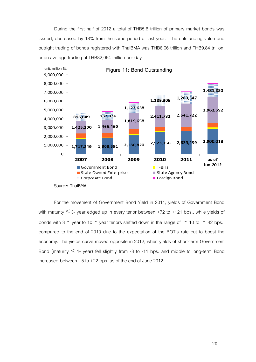During the first half of 2012 a total of THB5.6 trillion of primary market bonds was issued, decreased by 18% from the same period of last year. The outstanding value and outright trading of bonds registered with ThaiBMA was THB8.06 trillion and THB9.84 trillion, or an average trading of THB82,064 million per day.



For the movement of Government Bond Yield in 2011, yields of Government Bond with maturity  $\leq$  3- year edged up in every tenor between +72 to +121 bps., while yields of bonds with 3  $^-$  year to 10  $^-$  year tenors shifted down in the range of  $^-$  10 to  $^-$  42 bps., compared to the end of 2010 due to the expectation of the BOT's rate cut to boost the economy. The yields curve moved opposite in 2012, when yields of short-term Government Bond (maturity  $\leq$  1- year) fell slightly from -3 to -11 bps. and middle to long-term Bond increased between +5 to +22 bps. as of the end of June 2012.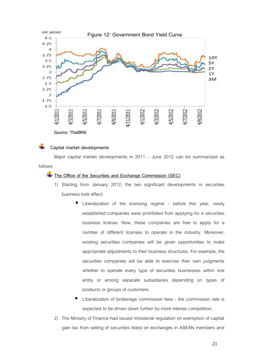

### **Capital market developments**

Major capital market developments in 2011 – June 2012 can be summarized as follows:

## **The Office of the Securities and Exchange Commission (SEC)**

- 1) Starting from January 2012, the two significant developments in securities business took effect;
	- Liberalization of the licensing regime before this year, newly established companies were prohibited from applying for a securities business license. Now, these companies are free to apply for a number of different licenses to operate in the industry. Moreover, existing securities companies will be given opportunities to make appropriate adjustments to their business structures. For example, the securities companies will be able to exercise their own judgments whether to operate every type of securities businesses within one entity or among separate subsidiaries depending on types of products or groups of customers.
	- Liberalization of brokerage commission fees the commission rate is expected to be driven down further by more intense competition.
- 2) The Ministry of Finance had issued ministerial regulation on exemption of capital gain tax from selling of securities listed on exchanges in ASEAN members and

21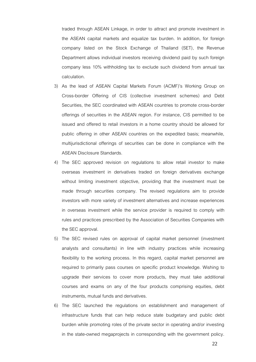traded through ASEAN Linkage, in order to attract and promote investment in the ASEAN capital markets and equalize tax burden. In addition, for foreign company listed on the Stock Exchange of Thailand (SET), the Revenue Department allows individual investors receiving dividend paid by such foreign company less 10% withholding tax to exclude such dividend from annual tax calculation.

- 3) As the lead of ASEAN Capital Markets Forum (ACMF)'s Working Group on Cross-border Offering of CIS (collective investment schemes) and Debt Securities, the SEC coordinated with ASEAN countries to promote cross-border offerings of securities in the ASEAN region. For instance, CIS permitted to be issued and offered to retail investors in a home country should be allowed for public offering in other ASEAN countries on the expedited basis; meanwhile, multijurisdictional offerings of securities can be done in compliance with the ASEAN Disclosure Standards.
- 4) The SEC approved revision on regulations to allow retail investor to make overseas investment in derivatives traded on foreign derivatives exchange without limiting investment objective, providing that the investment must be made through securities company. The revised regulations aim to provide investors with more variety of investment alternatives and increase experiences in overseas investment while the service provider is required to comply with rules and practices prescribed by the Association of Securities Companies with the SEC approval.
- 5) The SEC revised rules on approval of capital market personnel (investment analysts and consultants) in line with industry practices while increasing flexibility to the working process. In this regard, capital market personnel are required to primarily pass courses on specific product knowledge. Wishing to upgrade their services to cover more products, they must take additional courses and exams on any of the four products comprising equities, debt instruments, mutual funds and derivatives.
- 6) The SEC launched the regulations on establishment and management of infrastructure funds that can help reduce state budgetary and public debt burden while promoting roles of the private sector in operating and/or investing in the state-owned megaprojects in corresponding with the government policy.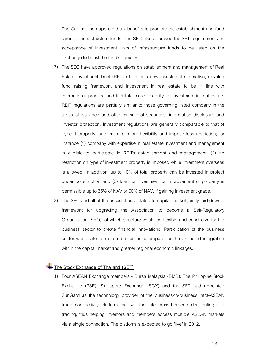The Cabinet then approved tax benefits to promote the establishment and fund raising of infrastructure funds. The SEC also approved the SET requirements on acceptance of investment units of infrastructure funds to be listed on the exchange to boost the fund's liquidity.

- 7) The SEC have approved regulations on establishment and management of Real Estate Investment Trust (REITs) to offer a new investment alternative, develop fund raising framework and investment in real estate to be in line with international practice and facilitate more flexibility for investment in real estate. REIT regulations are partially similar to those governing listed company in the areas of issuance and offer for sale of securities, information disclosure and investor protection. Investment regulations are generally comparable to that of Type 1 property fund but offer more flexibility and impose less restriction; for instance (1) company with expertise in real estate investment and management is eligible to participate in REITs establishment and management, (2) no restriction on type of investment property is imposed while investment overseas is allowed. In addition, up to 10% of total property can be invested in project under construction and (3) loan for investment or improvement of property is permissible up to 35% of NAV or 60% of NAV, if gaining investment grade.
- 8) The SEC and all of the associations related to capital market jointly laid down a framework for upgrading the Association to become a Self-Regulatory Organization (SRO), of which structure would be flexible and conducive for the business sector to create financial innovations. Participation of the business sector would also be offered in order to prepare for the expected integration within the capital market and greater regional economic linkages.

## The Stock Exchange of Thailand (SET)

1) Four ASEAN Exchange members - Bursa Malaysia (BMB), The Philippine Stock Exchange (PSE), Singapore Exchange (SGX) and the SET had appointed SunGard as the technology provider of the business-to-business intra-ASEAN trade connectivity platform that will facilitate cross-border order routing and trading, thus helping investors and members access multiple ASEAN markets via a single connection. The platform is expected to go "live" in 2012.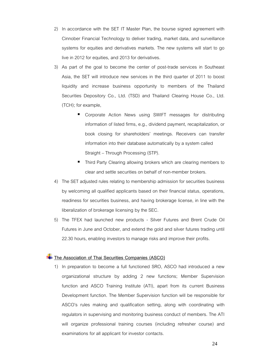- 2) In accordance with the SET IT Master Plan, the bourse signed agreement with Cinnober Financial Technology to deliver trading, market data, and surveillance systems for equities and derivatives markets. The new systems will start to go live in 2012 for equities, and 2013 for derivatives.
- 3) As part of the goal to become the center of post-trade services in Southeast Asia, the SET will introduce new services in the third quarter of 2011 to boost liquidity and increase business opportunity to members of the Thailand Securities Depository Co., Ltd. (TSD) and Thailand Clearing House Co., Ltd. (TCH); for example,
	- **Corporate Action News using SWIFT messages for distributing** information of listed firms, e.g., dividend payment, recapitalization, or book closing for shareholders' meetings. Receivers can transfer information into their database automatically by a system called Straight – Through Processing (STP).
	- Third Party Clearing allowing brokers which are clearing members to clear and settle securities on behalf of non-member brokers.
- 4) The SET adjusted rules relating to membership admission for securities business by welcoming all qualified applicants based on their financial status, operations, readiness for securities business, and having brokerage license, in line with the liberalization of brokerage licensing by the SEC.
- 5) The TFEX had launched new products Silver Futures and Brent Crude Oil Futures in June and October, and extend the gold and silver futures trading until 22.30 hours, enabling investors to manage risks and improve their profits.

## **The Association of Thai Securities Companies (ASCO)**

1) In preparation to become a full functioned SRO, ASCO had introduced a new organizational structure by adding 2 new functions; Member Supervision function and ASCO Training Institute (ATI), apart from its current Business Development function. The Member Supervision function will be responsible for ASCO's rules making and qualification setting, along with coordinating with regulators in supervising and monitoring business conduct of members. The ATI will organize professional training courses (including refresher course) and examinations for all applicant for investor contacts.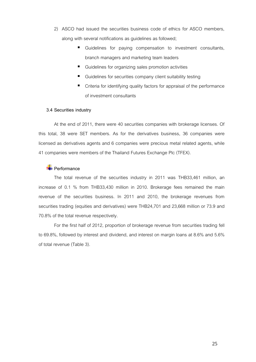- 2) ASCO had issued the securities business code of ethics for ASCO members, along with several notifications as guidelines as followed;
	- Guidelines for paying compensation to investment consultants, branch managers and marketing team leaders
	- Guidelines for organizing sales promotion activities
	- Guidelines for securities company client suitability testing
	- Criteria for identifying quality factors for appraisal of the performance of investment consultants

### **3.4 Securities industry**

At the end of 2011, there were 40 securities companies with brokerage licenses. Of this total, 38 were SET members. As for the derivatives business, 36 companies were licensed as derivatives agents and 6 companies were precious metal related agents, while 41 companies were members of the Thailand Futures Exchange Plc (TFEX).

## **Performance**

The total revenue of the securities industry in 2011 was THB33,461 million, an increase of 0.1 % from THB33,430 million in 2010. Brokerage fees remained the main revenue of the securities business. In 2011 and 2010, the brokerage revenues from securities trading (equities and derivatives) were THB24,701 and 23,668 million or 73.9 and 70.8% of the total revenue respectively.

For the first half of 2012, proportion of brokerage revenue from securities trading fell to 69.8%, followed by interest and dividend, and interest on margin loans at 8.6% and 5.6% of total revenue (Table 3).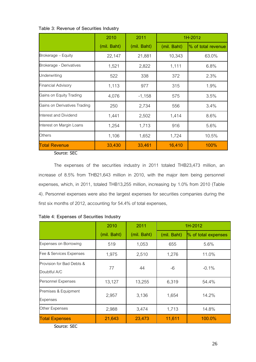|                                | 2010        | 2011        | 1H-2012     |                    |
|--------------------------------|-------------|-------------|-------------|--------------------|
|                                | (mil. Baht) | (mil. Baht) | (mil. Baht) | % of total revenue |
| Brokerage - Equity             | 22,147      | 21,881      | 10,343      | 63.0%              |
| <b>Brokerage - Derivatives</b> | 1,521       | 2,822       | 1,111       | 6.8%               |
| Underwriting                   | 522         | 338         | 372         | 2.3%               |
| Financial Advisory             | 1,113       | 977         | 315         | 1.9%               |
| Gains on Equity Trading        | 4,076       | $-1,158$    | 575         | 3.5%               |
| Gains on Derivatives Trading   | 250         | 2,734       | 556         | 3.4%               |
| Interest and Dividend          | 1,441       | 2,502       | 1,414       | 8.6%               |
| Interest on Margin Loans       | 1,254       | 1,713       | 916         | 5.6%               |
| <b>Others</b>                  | 1,106       | 1,652       | 1,724       | 10.5%              |
| Total Revenue                  | 33,430      | 33,461      | 16,410      | 100%               |

**Table 3: Revenue of Securities Industry**

Source: SEC

The expenses of the securities industry in 2011 totaled THB23,473 million, an increase of 8.5% from THB21,643 million in 2010, with the major item being personnel expenses, which, in 2011, totaled THB13,255 million, increasing by 1.0% from 2010 (Table 4). Personnel expenses were also the largest expenses for securities companies during the first six months of 2012, accounting for 54.4% of total expenses,

|                                           | 2010<br>2011 |             | 1H-2012        |                     |  |
|-------------------------------------------|--------------|-------------|----------------|---------------------|--|
|                                           | (mil. Baht)  | (mil. Baht) | (mil. Baht)    | % of total expenses |  |
| <b>Expenses on Borrowing</b>              | 519          | 1,053       | 655            | 5.6%                |  |
| Fee & Services Expenses                   | 1,975        | 2,510       | 1,276          | 11.0%               |  |
| Provision for Bad Debts &<br>Doubtful A/C | 77           | 44          | -6             | $-0.1%$             |  |
| Personnel Expenses                        | 13,127       | 13,255      | 6,319          | 54.4%               |  |
| Premises & Equipment<br><b>Expenses</b>   | 2,957        | 3,136       | 1,654          | 14.2%               |  |
| <b>Other Expenses</b>                     | 2,988        | 3,474       | 14.8%<br>1,713 |                     |  |
| <b>Total Expenses</b><br>$\sim$ $\sim$    | 21,643       | 23,473      | 11,611         | 100.0%              |  |

**Table 4: Expenses of Securities Industry**

Source: SEC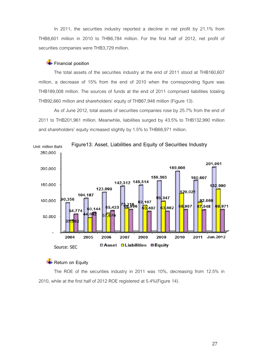In 2011, the securities industry reported a decline in net profit by 21.1% from THB8,601 million in 2010 to THB6,784 million. For the first half of 2012, net profit of securities companies were THB3,729 million.

## **Financial position**

The total assets of the securities industry at the end of 2011 stood at THB160,607 million, a decrease of 15% from the end of 2010 when the corresponding figure was THB189,008 million. The sources of funds at the end of 2011 comprised liabilities totaling THB92,660 million and shareholders' equity of THB67,948 million (Figure 13).

As of June 2012, total assets of securities companies rose by 25.7% from the end of 2011 to THB201,961 million. Meanwhile, liabilities surged by 43.5% to THB132,990 million and shareholders' equity increased slightly by 1.5% to THB68,971 million.



## **Return on Equity**

The ROE of the securities industry in 2011 was 10%, decreasing from 12.5% in 2010, while at the first half of 2012 ROE registered at 5.4%(Figure 14).